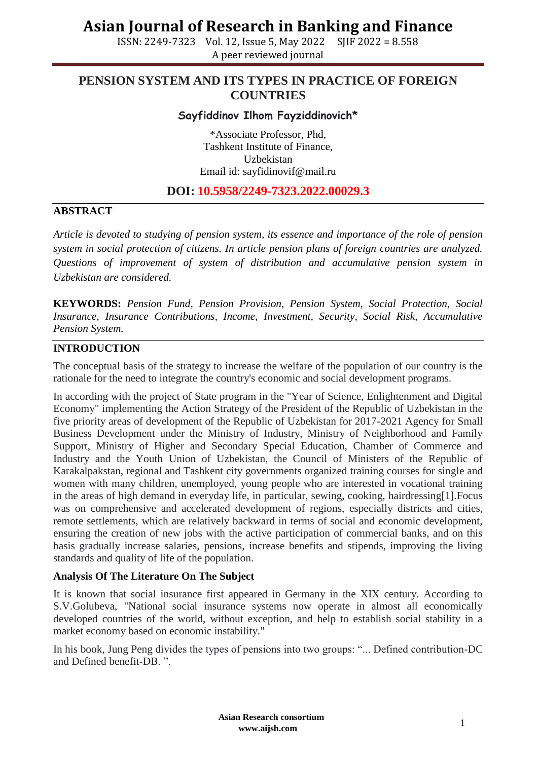ISSN: 2249-7323 Vol. 12, Issue 5, May 2022 SJIF 2022 = 8.558 A peer reviewed journal

### **PENSION SYSTEM AND ITS TYPES IN PRACTICE OF FOREIGN COUNTRIES**

#### **Sayfiddinov Ilhom Fayziddinovich\***

\*Associate Professor, Phd, Tashkent Institute of Finance, Uzbekistan Email id: [sayfidinovif@mail.ru](mailto:sayfidinovif@mail.ru)

#### **DOI: 10.5958/2249-7323.2022.00029.3**

#### **ABSTRACT**

*Article is devoted to studying of pension system, its essence and importance of the role of pension system in social protection of citizens. In article pension plans of foreign countries are analyzed. Questions of improvement of system of distribution and accumulative pension system in Uzbekistan are considered.*

**KEYWORDS:** *Pension Fund, Pension Provision, Pension System, Social Protection, Social Insurance, Insurance Contributions, Income, Investment, Security, Social Risk, Accumulative Pension System.*

#### **INTRODUCTION**

The conceptual basis of the strategy to increase the welfare of the population of our country is the rationale for the need to integrate the country's economic and social development programs.

In according with the project of State program in the "Year of Science, Enlightenment and Digital Economy" implementing the Action Strategy of the President of the Republic of Uzbekistan in the five priority areas of development of the Republic of Uzbekistan for 2017-2021 Agency for Small Business Development under the Ministry of Industry, Ministry of Neighborhood and Family Support, Ministry of Higher and Secondary Special Education, Chamber of Commerce and Industry and the Youth Union of Uzbekistan, the Council of Ministers of the Republic of Karakalpakstan, regional and Tashkent city governments organized training courses for single and women with many children, unemployed, young people who are interested in vocational training in the areas of high demand in everyday life, in particular, sewing, cooking, hairdressing[1].Focus was on comprehensive and accelerated development of regions, especially districts and cities, remote settlements, which are relatively backward in terms of social and economic development, ensuring the creation of new jobs with the active participation of commercial banks, and on this basis gradually increase salaries, pensions, increase benefits and stipends, improving the living standards and quality of life of the population.

#### **Analysis Of The Literature On The Subject**

It is known that social insurance first appeared in Germany in the XIX century. According to S.V.Golubeva, "National social insurance systems now operate in almost all economically developed countries of the world, without exception, and help to establish social stability in a market economy based on economic instability."

In his book, Jung Peng divides the types of pensions into two groups: "... Defined contribution-DC and Defined benefit-DB. ".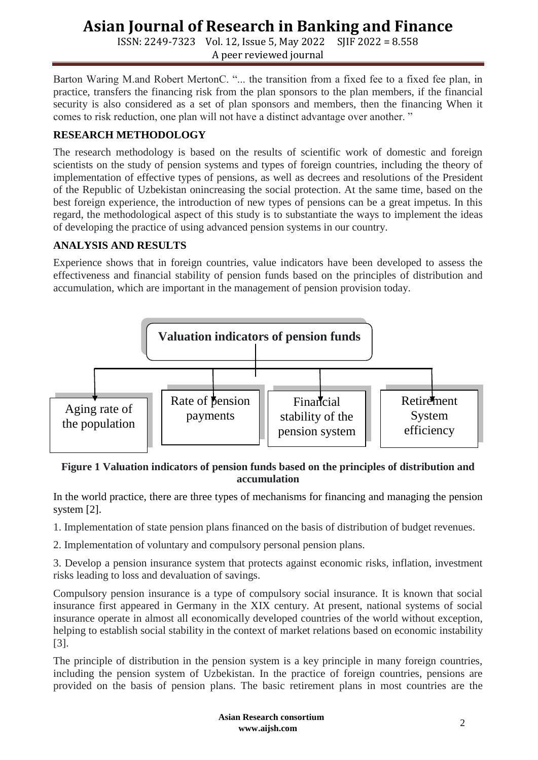ISSN: 2249-7323 Vol. 12, Issue 5, May 2022 SJIF 2022 = 8.558 A peer reviewed journal

Barton Waring M.and Robert MertonC. "... the transition from a fixed fee to a fixed fee plan, in practice, transfers the financing risk from the plan sponsors to the plan members, if the financial security is also considered as a set of plan sponsors and members, then the financing When it comes to risk reduction, one plan will not have a distinct advantage over another. "

#### **RESEARCH METHODOLOGY**

The research methodology is based on the results of scientific work of domestic and foreign scientists on the study of pension systems and types of foreign countries, including the theory of implementation of effective types of pensions, as well as decrees and resolutions of the President of the Republic of Uzbekistan onincreasing the social protection. At the same time, based on the best foreign experience, the introduction of new types of pensions can be a great impetus. In this regard, the methodological aspect of this study is to substantiate the ways to implement the ideas of developing the practice of using advanced pension systems in our country.

#### **ANALYSIS AND RESULTS**

Experience shows that in foreign countries, value indicators have been developed to assess the effectiveness and financial stability of pension funds based on the principles of distribution and accumulation, which are important in the management of pension provision today.



#### **Figure 1 Valuation indicators of pension funds based on the principles of distribution and accumulation**

In the world practice, there are three types of mechanisms for financing and managing the pension system [2].

1. Implementation of state pension plans financed on the basis of distribution of budget revenues.

2. Implementation of voluntary and compulsory personal pension plans.

3. Develop a pension insurance system that protects against economic risks, inflation, investment risks leading to loss and devaluation of savings.

Compulsory pension insurance is a type of compulsory social insurance. It is known that social insurance first appeared in Germany in the XIX century. At present, national systems of social insurance operate in almost all economically developed countries of the world without exception, helping to establish social stability in the context of market relations based on economic instability [3].

The principle of distribution in the pension system is a key principle in many foreign countries, including the pension system of Uzbekistan. In the practice of foreign countries, pensions are provided on the basis of pension plans. The basic retirement plans in most countries are the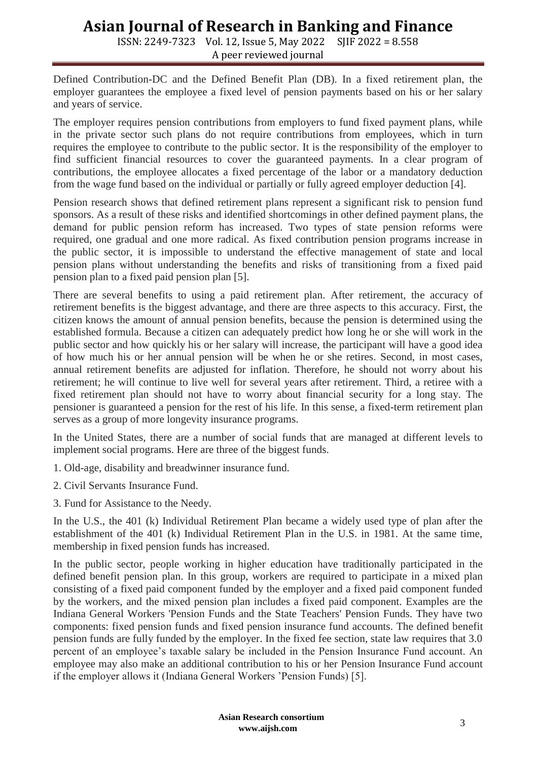ISSN: 2249-7323 Vol. 12, Issue 5, May 2022 SJIF 2022 = 8.558 A peer reviewed journal

Defined Contribution-DC and the Defined Benefit Plan (DB). In a fixed retirement plan, the employer guarantees the employee a fixed level of pension payments based on his or her salary and years of service.

The employer requires pension contributions from employers to fund fixed payment plans, while in the private sector such plans do not require contributions from employees, which in turn requires the employee to contribute to the public sector. It is the responsibility of the employer to find sufficient financial resources to cover the guaranteed payments. In a clear program of contributions, the employee allocates a fixed percentage of the labor or a mandatory deduction from the wage fund based on the individual or partially or fully agreed employer deduction [4].

Pension research shows that defined retirement plans represent a significant risk to pension fund sponsors. As a result of these risks and identified shortcomings in other defined payment plans, the demand for public pension reform has increased. Two types of state pension reforms were required, one gradual and one more radical. As fixed contribution pension programs increase in the public sector, it is impossible to understand the effective management of state and local pension plans without understanding the benefits and risks of transitioning from a fixed paid pension plan to a fixed paid pension plan [5].

There are several benefits to using a paid retirement plan. After retirement, the accuracy of retirement benefits is the biggest advantage, and there are three aspects to this accuracy. First, the citizen knows the amount of annual pension benefits, because the pension is determined using the established formula. Because a citizen can adequately predict how long he or she will work in the public sector and how quickly his or her salary will increase, the participant will have a good idea of how much his or her annual pension will be when he or she retires. Second, in most cases, annual retirement benefits are adjusted for inflation. Therefore, he should not worry about his retirement; he will continue to live well for several years after retirement. Third, a retiree with a fixed retirement plan should not have to worry about financial security for a long stay. The pensioner is guaranteed a pension for the rest of his life. In this sense, a fixed-term retirement plan serves as a group of more longevity insurance programs.

In the United States, there are a number of social funds that are managed at different levels to implement social programs. Here are three of the biggest funds.

- 1. Old-age, disability and breadwinner insurance fund.
- 2. Civil Servants Insurance Fund.
- 3. Fund for Assistance to the Needy.

In the U.S., the 401 (k) Individual Retirement Plan became a widely used type of plan after the establishment of the 401 (k) Individual Retirement Plan in the U.S. in 1981. At the same time, membership in fixed pension funds has increased.

In the public sector, people working in higher education have traditionally participated in the defined benefit pension plan. In this group, workers are required to participate in a mixed plan consisting of a fixed paid component funded by the employer and a fixed paid component funded by the workers, and the mixed pension plan includes a fixed paid component. Examples are the Indiana General Workers 'Pension Funds and the State Teachers' Pension Funds. They have two components: fixed pension funds and fixed pension insurance fund accounts. The defined benefit pension funds are fully funded by the employer. In the fixed fee section, state law requires that 3.0 percent of an employee's taxable salary be included in the Pension Insurance Fund account. An employee may also make an additional contribution to his or her Pension Insurance Fund account if the employer allows it (Indiana General Workers 'Pension Funds) [5].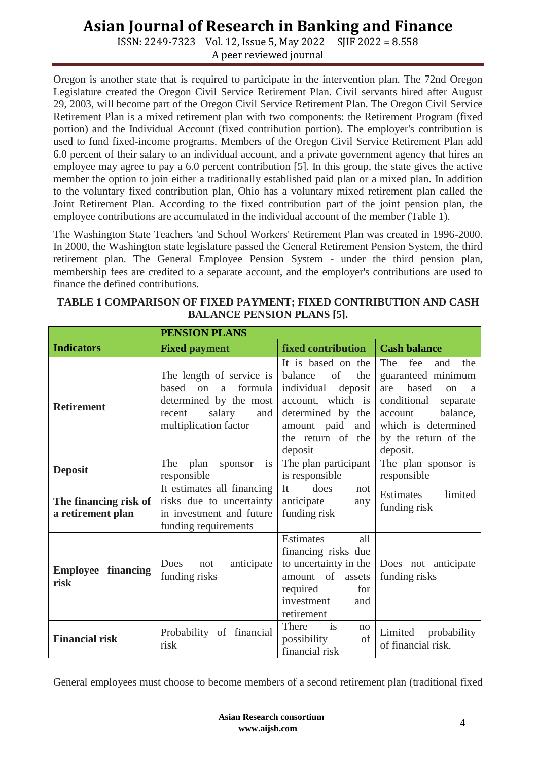ISSN: 2249-7323 Vol. 12, Issue 5, May 2022 SJIF 2022 = 8.558 A peer reviewed journal

Oregon is another state that is required to participate in the intervention plan. The 72nd Oregon Legislature created the Oregon Civil Service Retirement Plan. Civil servants hired after August 29, 2003, will become part of the Oregon Civil Service Retirement Plan. The Oregon Civil Service Retirement Plan is a mixed retirement plan with two components: the Retirement Program (fixed portion) and the Individual Account (fixed contribution portion). The employer's contribution is used to fund fixed-income programs. Members of the Oregon Civil Service Retirement Plan add 6.0 percent of their salary to an individual account, and a private government agency that hires an employee may agree to pay a 6.0 percent contribution [5]. In this group, the state gives the active member the option to join either a traditionally established paid plan or a mixed plan. In addition to the voluntary fixed contribution plan, Ohio has a voluntary mixed retirement plan called the Joint Retirement Plan. According to the fixed contribution part of the joint pension plan, the employee contributions are accumulated in the individual account of the member (Table 1).

The Washington State Teachers 'and School Workers' Retirement Plan was created in 1996-2000. In 2000, the Washington state legislature passed the General Retirement Pension System, the third retirement plan. The General Employee Pension System - under the third pension plan, membership fees are credited to a separate account, and the employer's contributions are used to finance the defined contributions.

|                                            | <b>PENSION PLANS</b>                                                                                                               |                                                                                                                                                                     |                                                                                                                                                                                        |
|--------------------------------------------|------------------------------------------------------------------------------------------------------------------------------------|---------------------------------------------------------------------------------------------------------------------------------------------------------------------|----------------------------------------------------------------------------------------------------------------------------------------------------------------------------------------|
| <b>Indicators</b>                          | <b>Fixed payment</b>                                                                                                               | <b>fixed contribution</b>                                                                                                                                           | <b>Cash balance</b>                                                                                                                                                                    |
| <b>Retirement</b>                          | The length of service is<br>based on<br>formula<br>a<br>determined by the most<br>salary<br>recent<br>and<br>multiplication factor | It is based on the<br>balance<br>of<br>the<br>individual<br>deposit<br>account, which is<br>determined by the<br>amount paid<br>and<br>the return of the<br>deposit | The<br>fee<br>the<br>and<br>guaranteed minimum<br>based<br>are<br>on<br>a<br>conditional<br>separate<br>balance,<br>account<br>which is determined<br>by the return of the<br>deposit. |
| <b>Deposit</b>                             | The<br>plan<br>sponsor<br><i>is</i><br>responsible                                                                                 | The plan participant<br>is responsible                                                                                                                              | The plan sponsor is<br>responsible                                                                                                                                                     |
| The financing risk of<br>a retirement plan | It estimates all financing<br>risks due to uncertainty<br>in investment and future<br>funding requirements                         | It<br>does<br>not<br>anticipate<br>any<br>funding risk                                                                                                              | Estimates<br>limited<br>funding risk                                                                                                                                                   |
| <b>Employee financing</b><br>risk          | anticipate<br>Does<br>not<br>funding risks                                                                                         | Estimates<br>all<br>financing risks due<br>to uncertainty in the<br>amount of<br>assets<br>required<br>for<br>investment<br>and<br>retirement                       | Does not anticipate<br>funding risks                                                                                                                                                   |
| <b>Financial risk</b>                      | Probability of financial<br>risk                                                                                                   | $\overline{\text{is}}$<br>There<br>no<br>possibility<br>of<br>financial risk                                                                                        | probability<br>Limited<br>of financial risk.                                                                                                                                           |

| TABLE 1 COMPARISON OF FIXED PAYMENT; FIXED CONTRIBUTION AND CASH |  |
|------------------------------------------------------------------|--|
| <b>BALANCE PENSION PLANS [5].</b>                                |  |

General employees must choose to become members of a second retirement plan (traditional fixed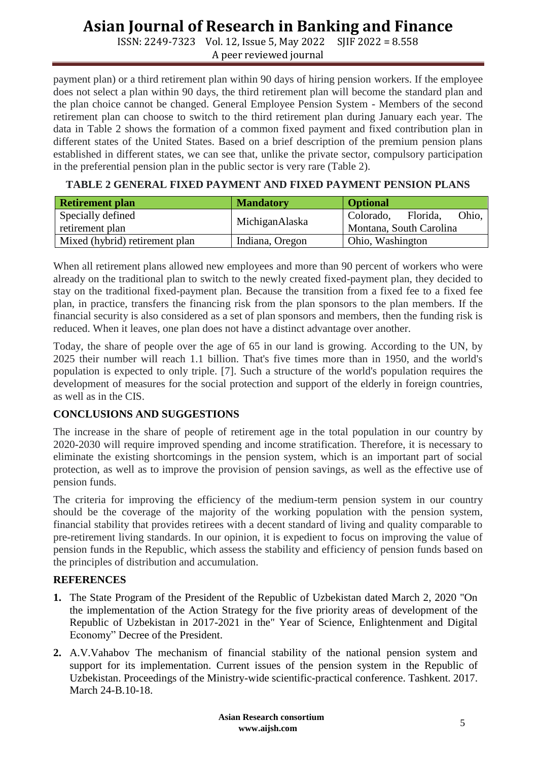ISSN: 2249-7323 Vol. 12, Issue 5, May 2022 SJIF 2022 = 8.558 A peer reviewed journal

payment plan) or a third retirement plan within 90 days of hiring pension workers. If the employee does not select a plan within 90 days, the third retirement plan will become the standard plan and the plan choice cannot be changed. General Employee Pension System - Members of the second retirement plan can choose to switch to the third retirement plan during January each year. The data in Table 2 shows the formation of a common fixed payment and fixed contribution plan in different states of the United States. Based on a brief description of the premium pension plans established in different states, we can see that, unlike the private sector, compulsory participation in the preferential pension plan in the public sector is very rare (Table 2).

**TABLE 2 GENERAL FIXED PAYMENT AND FIXED PAYMENT PENSION PLANS**

| <b>Retirement plan</b>         | <b>Mandatory</b> | <b>Optional</b>                |
|--------------------------------|------------------|--------------------------------|
| Specially defined              | MichiganAlaska   | Florida.<br>Colorado,<br>Ohio. |
| retirement plan                |                  | Montana, South Carolina        |
| Mixed (hybrid) retirement plan | Indiana, Oregon  | Ohio, Washington               |

When all retirement plans allowed new employees and more than 90 percent of workers who were already on the traditional plan to switch to the newly created fixed-payment plan, they decided to stay on the traditional fixed-payment plan. Because the transition from a fixed fee to a fixed fee plan, in practice, transfers the financing risk from the plan sponsors to the plan members. If the financial security is also considered as a set of plan sponsors and members, then the funding risk is reduced. When it leaves, one plan does not have a distinct advantage over another.

Today, the share of people over the age of 65 in our land is growing. According to the UN, by 2025 their number will reach 1.1 billion. That's five times more than in 1950, and the world's population is expected to only triple. [7]. Such a structure of the world's population requires the development of measures for the social protection and support of the elderly in foreign countries, as well as in the CIS.

#### **CONCLUSIONS AND SUGGESTIONS**

The increase in the share of people of retirement age in the total population in our country by 2020-2030 will require improved spending and income stratification. Therefore, it is necessary to eliminate the existing shortcomings in the pension system, which is an important part of social protection, as well as to improve the provision of pension savings, as well as the effective use of pension funds.

The criteria for improving the efficiency of the medium-term pension system in our country should be the coverage of the majority of the working population with the pension system, financial stability that provides retirees with a decent standard of living and quality comparable to pre-retirement living standards. In our opinion, it is expedient to focus on improving the value of pension funds in the Republic, which assess the stability and efficiency of pension funds based on the principles of distribution and accumulation.

### **REFERENCES**

- **1.** The State Program of the President of the Republic of Uzbekistan dated March 2, 2020 "On the implementation of the Action Strategy for the five priority areas of development of the Republic of Uzbekistan in 2017-2021 in the" Year of Science, Enlightenment and Digital Economy" Decree of the President.
- **2.** A.V.Vahabov The mechanism of financial stability of the national pension system and support for its implementation. Current issues of the pension system in the Republic of Uzbekistan. Proceedings of the Ministry-wide scientific-practical conference. Tashkent. 2017. March 24-B.10-18.